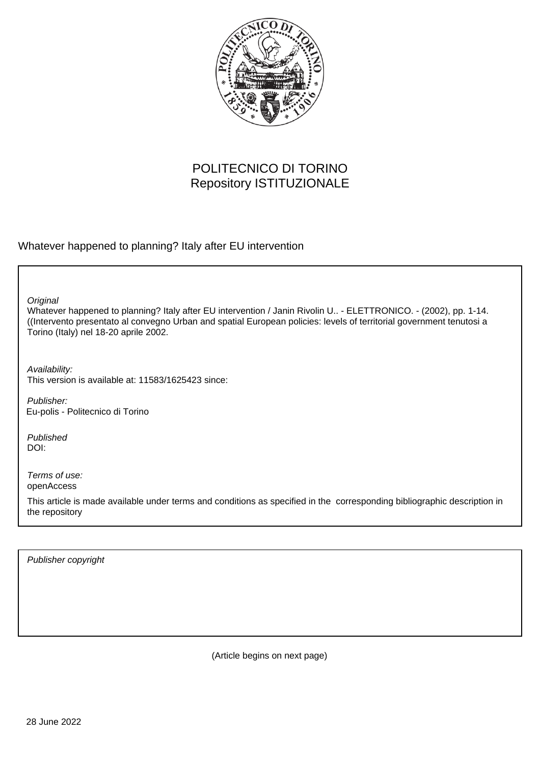

# POLITECNICO DI TORINO Repository ISTITUZIONALE

Whatever happened to planning? Italy after EU intervention

**Original** 

Whatever happened to planning? Italy after EU intervention / Janin Rivolin U.. - ELETTRONICO. - (2002), pp. 1-14. ((Intervento presentato al convegno Urban and spatial European policies: levels of territorial government tenutosi a Torino (Italy) nel 18-20 aprile 2002.

Availability: This version is available at: 11583/1625423 since:

Publisher: Eu-polis - Politecnico di Torino

Published DOI:

Terms of use: openAccess

This article is made available under terms and conditions as specified in the corresponding bibliographic description in the repository

Publisher copyright

(Article begins on next page)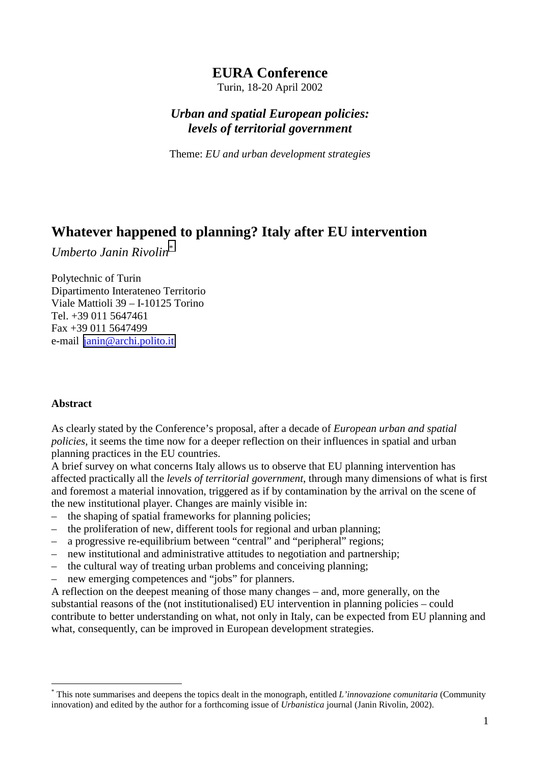### **EURA Conference**

Turin, 18-20 April 2002

## *Urban and spatial European policies: levels of territorial government*

Theme: *EU and urban development strategies*

## **Whatever happened to planning? Italy after EU intervention**

*Umberto Janin Rivolin\**

Polytechnic of Turin Dipartimento Interateneo Territorio Viale Mattioli 39 – I-10125 Torino Tel. +39 011 5647461 Fax +39 011 5647499 e-mail [janin@archi.polito.it](mailto:janin@archi.polito.it)

### **Abstract**

 $\overline{a}$ 

As clearly stated by the Conference's proposal, after a decade of *European urban and spatial policies*, it seems the time now for a deeper reflection on their influences in spatial and urban planning practices in the EU countries.

A brief survey on what concerns Italy allows us to observe that EU planning intervention has affected practically all the *levels of territorial government*, through many dimensions of what is first and foremost a material innovation, triggered as if by contamination by the arrival on the scene of the new institutional player. Changes are mainly visible in:

- the shaping of spatial frameworks for planning policies;
- the proliferation of new, different tools for regional and urban planning;
- a progressive re-equilibrium between "central" and "peripheral" regions;
- new institutional and administrative attitudes to negotiation and partnership;
- the cultural way of treating urban problems and conceiving planning;
- new emerging competences and "jobs" for planners.

A reflection on the deepest meaning of those many changes – and, more generally, on the substantial reasons of the (not institutionalised) EU intervention in planning policies – could contribute to better understanding on what, not only in Italy, can be expected from EU planning and what, consequently, can be improved in European development strategies.

<sup>\*</sup> This note summarises and deepens the topics dealt in the monograph, entitled *L'innovazione comunitaria* (Community innovation) and edited by the author for a forthcoming issue of *Urbanistica* journal (Janin Rivolin, 2002).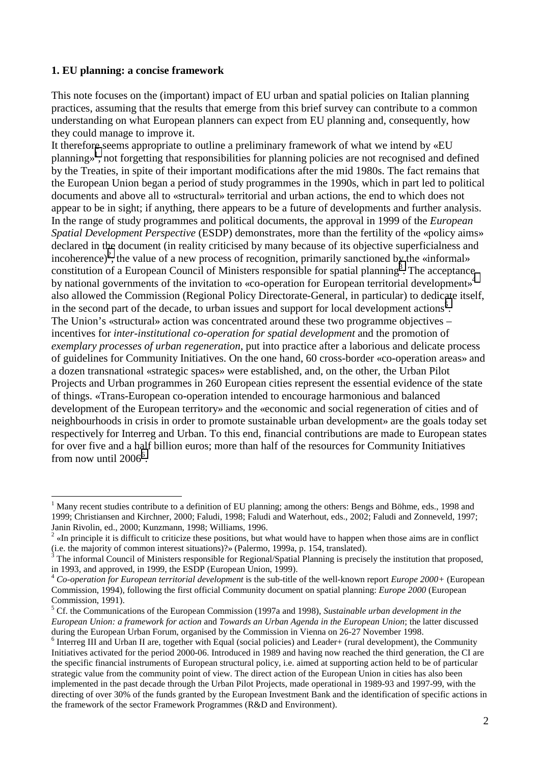#### **1. EU planning: a concise framework**

 $\overline{a}$ 

This note focuses on the (important) impact of EU urban and spatial policies on Italian planning practices, assuming that the results that emerge from this brief survey can contribute to a common understanding on what European planners can expect from EU planning and, consequently, how they could manage to improve it.

It therefore seems appropriate to outline a preliminary framework of what we intend by «EU planning»1 , not forgetting that responsibilities for planning policies are not recognised and defined by the Treaties, in spite of their important modifications after the mid 1980s. The fact remains that the European Union began a period of study programmes in the 1990s, which in part led to political documents and above all to «structural» territorial and urban actions, the end to which does not appear to be in sight; if anything, there appears to be a future of developments and further analysis. In the range of study programmes and political documents, the approval in 1999 of the *European Spatial Development Perspective* (ESDP) demonstrates, more than the fertility of the «policy aims» declared in the document (in reality criticised by many because of its objective superficialness and incoherence)<sup>2</sup>, the value of a new process of recognition, primarily sanctioned by the «informal» constitution of a European Council of Ministers responsible for spatial planning<sup>3</sup>. The acceptance by national governments of the invitation to «co-operation for European territorial development»<sup>4</sup> also allowed the Commission (Regional Policy Directorate-General, in particular) to dedicate itself, in the second part of the decade, to urban issues and support for local development actions<sup>5</sup>. The Union's «structural» action was concentrated around these two programme objectives – incentives for *inter-institutional co-operation for spatial development* and the promotion of *exemplary processes of urban regeneration*, put into practice after a laborious and delicate process of guidelines for Community Initiatives. On the one hand, 60 cross-border «co-operation areas» and a dozen transnational «strategic spaces» were established, and, on the other, the Urban Pilot Projects and Urban programmes in 260 European cities represent the essential evidence of the state of things. «Trans-European co-operation intended to encourage harmonious and balanced development of the European territory» and the «economic and social regeneration of cities and of neighbourhoods in crisis in order to promote sustainable urban development» are the goals today set respectively for Interreg and Urban. To this end, financial contributions are made to European states for over five and a half billion euros; more than half of the resources for Community Initiatives from now until  $2006^6$ .

<sup>1</sup> Many recent studies contribute to a definition of EU planning; among the others: Bengs and Böhme, eds., 1998 and 1999; Christiansen and Kirchner, 2000; Faludi, 1998; Faludi and Waterhout, eds., 2002; Faludi and Zonneveld, 1997;

Janin Rivolin, ed., 2000; Kunzmann, 1998; Williams, 1996.<br><sup>2</sup> «In principle it is difficult to criticize these positions, but what would have to happen when those aims are in conflict (i.e. the majority of common interest situations)?» (Palermo, 1999a, p. 154, translated).

 $3$  The informal Council of Ministers responsible for Regional/Spatial Planning is precisely the institution that proposed, in 1993, and approved, in 1999, the ESDP (European Union, 1999).

<sup>4</sup> *Co-operation for European territorial development* is the sub-title of the well-known report *Europe 2000+* (European Commission, 1994), following the first official Community document on spatial planning: *Europe 2000* (European Commission, 1991).

<sup>5</sup> Cf. the Communications of the European Commission (1997a and 1998), *Sustainable urban development in the European Union: a framework for action* and *Towards an Urban Agenda in the European Union*; the latter discussed during the European Urban Forum, organised by the Commission in Vienna on 26-27 November 1998.

<sup>&</sup>lt;sup>6</sup> Interreg III and Urban II are, together with Equal (social policies) and Leader+ (rural development), the Community Initiatives activated for the period 2000-06. Introduced in 1989 and having now reached the third generation, the CI are the specific financial instruments of European structural policy, i.e. aimed at supporting action held to be of particular strategic value from the community point of view. The direct action of the European Union in cities has also been implemented in the past decade through the Urban Pilot Projects, made operational in 1989-93 and 1997-99, with the directing of over 30% of the funds granted by the European Investment Bank and the identification of specific actions in the framework of the sector Framework Programmes (R&D and Environment).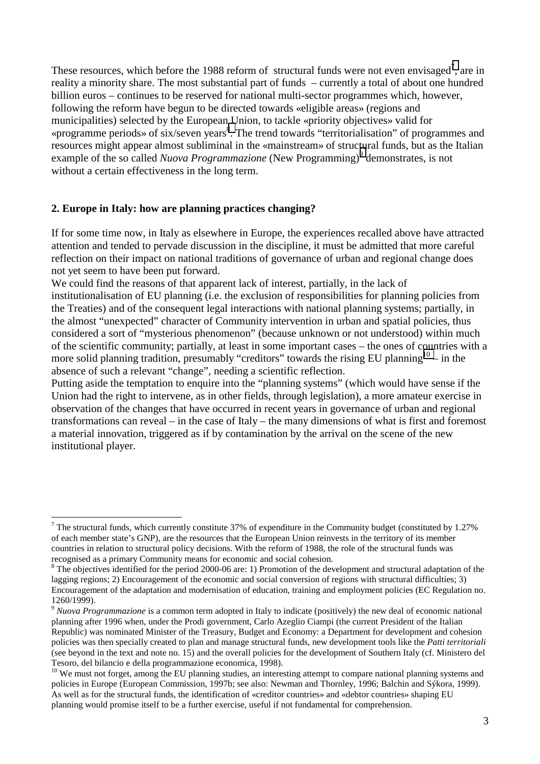These resources, which before the 1988 reform of structural funds were not even envisaged<sup>7</sup>, are in reality a minority share. The most substantial part of funds – currently a total of about one hundred billion euros – continues to be reserved for national multi-sector programmes which, however, following the reform have begun to be directed towards «eligible areas» (regions and municipalities) selected by the European Union, to tackle «priority objectives» valid for «programme periods» of six/seven years<sup>8</sup>. The trend towards "territorialisation" of programmes and resources might appear almost subliminal in the «mainstream» of structural funds, but as the Italian example of the so called *Nuova Programmazione* (New Programming)<sup>9</sup> demonstrates, is not without a certain effectiveness in the long term.

#### **2. Europe in Italy: how are planning practices changing?**

 $\overline{a}$ 

If for some time now, in Italy as elsewhere in Europe, the experiences recalled above have attracted attention and tended to pervade discussion in the discipline, it must be admitted that more careful reflection on their impact on national traditions of governance of urban and regional change does not yet seem to have been put forward.

We could find the reasons of that apparent lack of interest, partially, in the lack of institutionalisation of EU planning (i.e. the exclusion of responsibilities for planning policies from the Treaties) and of the consequent legal interactions with national planning systems; partially, in the almost "unexpected" character of Community intervention in urban and spatial policies, thus considered a sort of "mysterious phenomenon" (because unknown or not understood) within much of the scientific community; partially, at least in some important cases – the ones of countries with a more solid planning tradition, presumably "creditors" towards the rising EU planning<sup>10</sup> – in the absence of such a relevant "change", needing a scientific reflection.

Putting aside the temptation to enquire into the "planning systems" (which would have sense if the Union had the right to intervene, as in other fields, through legislation), a more amateur exercise in observation of the changes that have occurred in recent years in governance of urban and regional transformations can reveal – in the case of Italy – the many dimensions of what is first and foremost a material innovation, triggered as if by contamination by the arrival on the scene of the new institutional player.

<sup>&</sup>lt;sup>7</sup> The structural funds, which currently constitute 37% of expenditure in the Community budget (constituted by 1.27% of each member state's GNP), are the resources that the European Union reinvests in the territory of its member countries in relation to structural policy decisions. With the reform of 1988, the role of the structural funds was recognised as a primary Community means for economic and social cohesion.

 $8$  The objectives identified for the period 2000-06 are: 1) Promotion of the development and structural adaptation of the lagging regions; 2) Encouragement of the economic and social conversion of regions with structural difficulties; 3) Encouragement of the adaptation and modernisation of education, training and employment policies (EC Regulation no. 1260/1999).

<sup>&</sup>lt;sup>9</sup> *Nuova Programmazione* is a common term adopted in Italy to indicate (positively) the new deal of economic national planning after 1996 when, under the Prodi government, Carlo Azeglio Ciampi (the current President of the Italian Republic) was nominated Minister of the Treasury, Budget and Economy: a Department for development and cohesion policies was then specially created to plan and manage structural funds, new development tools like the *Patti territoriali*  (see beyond in the text and note no. 15) and the overall policies for the development of Southern Italy (cf. Ministero del Tesoro, del bilancio e della programmazione economica, 1998).

<sup>&</sup>lt;sup>10</sup> We must not forget, among the EU planning studies, an interesting attempt to compare national planning systems and policies in Europe (European Commission, 1997b; see also: Newman and Thornley, 1996; Balchin and Sýkora, 1999). As well as for the structural funds, the identification of «creditor countries» and «debtor countries» shaping EU planning would promise itself to be a further exercise, useful if not fundamental for comprehension.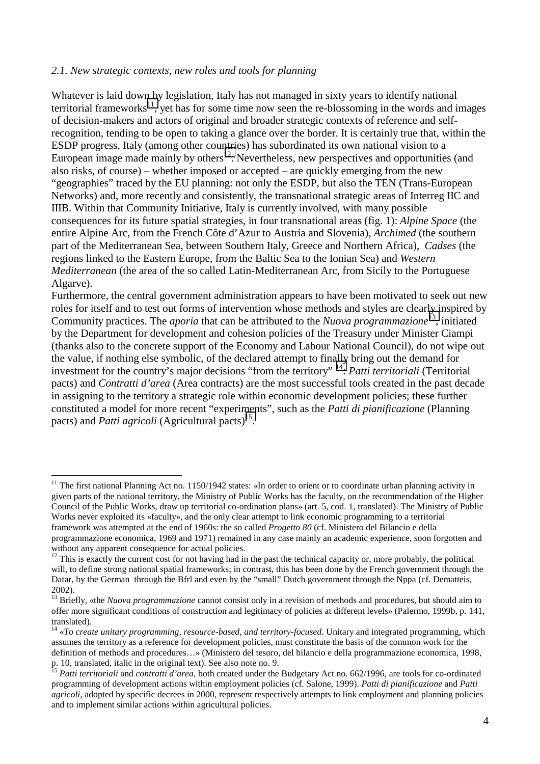#### *2.1. New strategic contexts, new roles and tools for planning*

 $\overline{a}$ 

Whatever is laid down by legislation, Italy has not managed in sixty years to identify national territorial frameworks<sup>11</sup>, yet has for some time now seen the re-blossoming in the words and images of decision-makers and actors of original and broader strategic contexts of reference and selfrecognition, tending to be open to taking a glance over the border. It is certainly true that, within the ESDP progress, Italy (among other countries) has subordinated its own national vision to a European image made mainly by others<sup>12</sup>. Nevertheless, new perspectives and opportunities (and also risks, of course) – whether imposed or accepted – are quickly emerging from the new "geographies" traced by the EU planning: not only the ESDP, but also the TEN (Trans-European Networks) and, more recently and consistently, the transnational strategic areas of Interreg IIC and IIIB. Within that Community Initiative, Italy is currently involved, with many possible consequences for its future spatial strategies, in four transnational areas (fig. 1): *Alpine Space* (the entire Alpine Arc, from the French Côte d'Azur to Austria and Slovenia), *Archimed* (the southern part of the Mediterranean Sea, between Southern Italy, Greece and Northern Africa), *Cadses* (the regions linked to the Eastern Europe, from the Baltic Sea to the Ionian Sea) and *Western Mediterranean* (the area of the so called Latin-Mediterranean Arc, from Sicily to the Portuguese Algarve).

Furthermore, the central government administration appears to have been motivated to seek out new roles for itself and to test out forms of intervention whose methods and styles are clearly inspired by Community practices. The *aporia* that can be attributed to the *Nuova programmazione*13, initiated by the Department for development and cohesion policies of the Treasury under Minister Ciampi (thanks also to the concrete support of the Economy and Labour National Council), do not wipe out the value, if nothing else symbolic, of the declared attempt to finally bring out the demand for investment for the country's major decisions "from the territory"<sup>14</sup>: *Patti territoriali* (Territorial pacts) and *Contratti d'area* (Area contracts) are the most successful tools created in the past decade in assigning to the territory a strategic role within economic development policies; these further constituted a model for more recent "experiments", such as the *Patti di pianificazione* (Planning pacts) and *Patti agricoli* (Agricultural pacts)<sup>15</sup>.

 $11$  The first national Planning Act no. 1150/1942 states: «In order to orient or to coordinate urban planning activity in given parts of the national territory, the Ministry of Public Works has the faculty, on the recommendation of the Higher Council of the Public Works, draw up territorial co-ordination plans» (art. 5, cod. 1, translated). The Ministry of Public Works never exploited its «faculty», and the only clear attempt to link economic programming to a territorial framework was attempted at the end of 1960s: the so called *Progetto 80* (cf. Ministero del Bilancio e della programmazione economica, 1969 and 1971) remained in any case mainly an academic experience, soon forgotten and

without any apparent consequence for actual policies.

 $12$  This is exactly the current cost for not having had in the past the technical capacity or, more probably, the political will, to define strong national spatial frameworks; in contrast, this has been done by the French government through the Datar, by the German through the Bfrl and even by the "small" Dutch government through the Nppa (cf. Dematteis, 2002).

<sup>&</sup>lt;sup>13</sup> Briefly, «the *Nuova programmazione* cannot consist only in a revision of methods and procedures, but should aim to offer more significant conditions of construction and legitimacy of policies at different levels» (Palermo, 1999b, p. 141, translated).

<sup>14 «</sup>*To create unitary programming, resource-based, and territory-focused*. Unitary and integrated programming, which assumes the territory as a reference for development policies, must constitute the basis of the common work for the definition of methods and procedures…» (Ministero del tesoro, del bilancio e della programmazione economica, 1998, p. 10, translated, italic in the original text). See also note no. 9.

<sup>15</sup> *Patti territoriali* and *contratti d'area*, both created under the Budgetary Act no. 662/1996, are tools for co-ordinated programming of development actions within employment policies (cf. Salone, 1999). *Patti di pianificazione* and *Patti agricoli*, adopted by specific decrees in 2000, represent respectively attempts to link employment and planning policies and to implement similar actions within agricultural policies.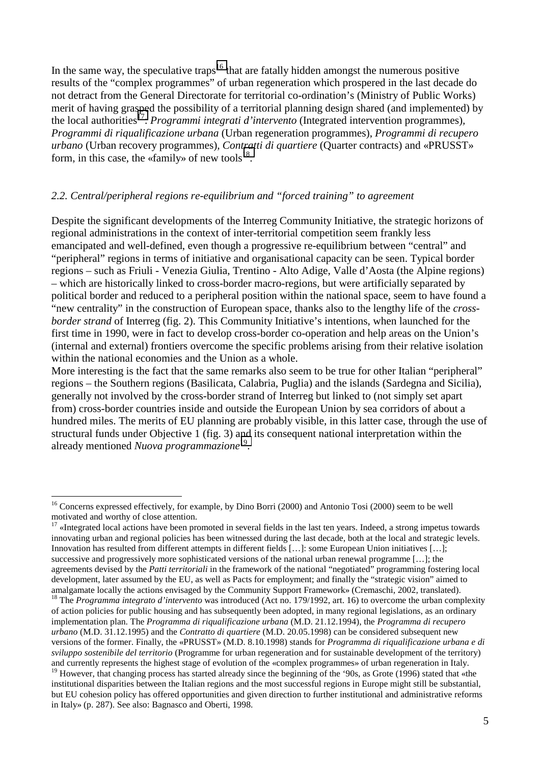In the same way, the speculative traps<sup>16</sup> that are fatally hidden amongst the numerous positive results of the "complex programmes" of urban regeneration which prospered in the last decade do not detract from the General Directorate for territorial co-ordination's (Ministry of Public Works) merit of having grasped the possibility of a territorial planning design shared (and implemented) by the local authorities<sup>17</sup>: *Programmi integrati d'intervento* (Integrated intervention programmes), *Programmi di riqualificazione urbana* (Urban regeneration programmes), *Programmi di recupero urbano* (Urban recovery programmes), *Contratti di quartiere* (Quarter contracts) and «PRUSST» form, in this case, the «family» of new tools $^{18}$ .

#### *2.2. Central/peripheral regions re-equilibrium and "forced training" to agreement*

Despite the significant developments of the Interreg Community Initiative, the strategic horizons of regional administrations in the context of inter-territorial competition seem frankly less emancipated and well-defined, even though a progressive re-equilibrium between "central" and "peripheral" regions in terms of initiative and organisational capacity can be seen. Typical border regions – such as Friuli - Venezia Giulia, Trentino - Alto Adige, Valle d'Aosta (the Alpine regions) – which are historically linked to cross-border macro-regions, but were artificially separated by political border and reduced to a peripheral position within the national space, seem to have found a "new centrality" in the construction of European space, thanks also to the lengthy life of the *crossborder strand* of Interreg (fig. 2). This Community Initiative's intentions, when launched for the first time in 1990, were in fact to develop cross-border co-operation and help areas on the Union's (internal and external) frontiers overcome the specific problems arising from their relative isolation within the national economies and the Union as a whole.

More interesting is the fact that the same remarks also seem to be true for other Italian "peripheral" regions – the Southern regions (Basilicata, Calabria, Puglia) and the islands (Sardegna and Sicilia), generally not involved by the cross-border strand of Interreg but linked to (not simply set apart from) cross-border countries inside and outside the European Union by sea corridors of about a hundred miles. The merits of EU planning are probably visible, in this latter case, through the use of structural funds under Objective 1 (fig. 3) and its consequent national interpretation within the already mentioned *Nuova programmazione*19.

 $\overline{a}$ 

<sup>&</sup>lt;sup>16</sup> Concerns expressed effectively, for example, by Dino Borri (2000) and Antonio Tosi (2000) seem to be well motivated and worthy of close attention.

 $17$  «Integrated local actions have been promoted in several fields in the last ten years. Indeed, a strong impetus towards innovating urban and regional policies has been witnessed during the last decade, both at the local and strategic levels. Innovation has resulted from different attempts in different fields […]: some European Union initiatives […]; successive and progressively more sophisticated versions of the national urban renewal programme [...]; the agreements devised by the *Patti territoriali* in the framework of the national "negotiated" programming fostering local development, later assumed by the EU, as well as Pacts for employment; and finally the "strategic vision" aimed to amalgamate locally the actions envisaged by the Community Support Framework» (Cremaschi, 2002, translated).

<sup>&</sup>lt;sup>18</sup> The *Programma integrato d'intervento* was introduced (Act no. 179/1992, art. 16) to overcome the urban complexity of action policies for public housing and has subsequently been adopted, in many regional legislations, as an ordinary implementation plan. The *Programma di riqualificazione urbana* (M.D. 21.12.1994), the *Programma di recupero urbano* (M.D. 31.12.1995) and the *Contratto di quartiere* (M.D. 20.05.1998) can be considered subsequent new versions of the former. Finally, the «PRUSST» (M.D. 8.10.1998) stands for *Programma di riqualificazione urbana e di sviluppo sostenibile del territorio* (Programme for urban regeneration and for sustainable development of the territory) and currently represents the highest stage of evolution of the «complex programmes» of urban regeneration in Italy.

<sup>&</sup>lt;sup>19</sup> However, that changing process has started already since the beginning of the '90s, as Grote (1996) stated that «the institutional disparities between the Italian regions and the most successful regions in Europe might still be substantial, but EU cohesion policy has offered opportunities and given direction to further institutional and administrative reforms in Italy» (p. 287). See also: Bagnasco and Oberti, 1998.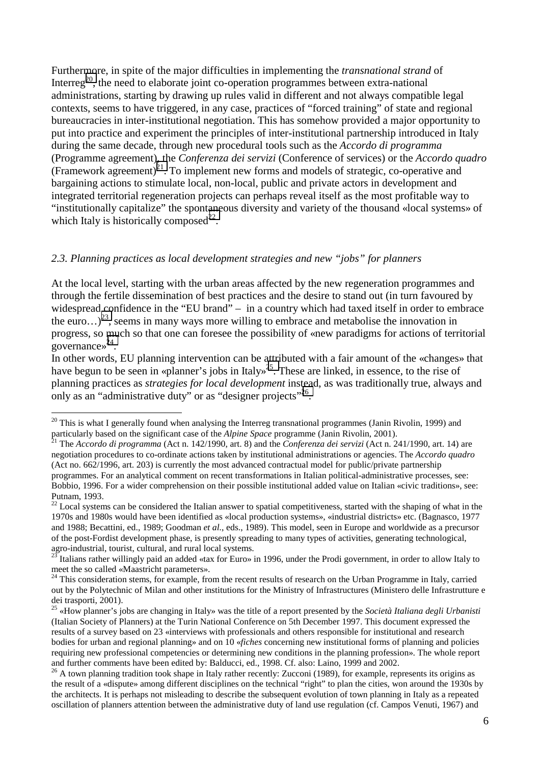Furthermore, in spite of the major difficulties in implementing the *transnational strand* of Interreg<sup>20</sup>, the need to elaborate joint co-operation programmes between extra-national administrations, starting by drawing up rules valid in different and not always compatible legal contexts, seems to have triggered, in any case, practices of "forced training" of state and regional bureaucracies in inter-institutional negotiation. This has somehow provided a major opportunity to put into practice and experiment the principles of inter-institutional partnership introduced in Italy during the same decade, through new procedural tools such as the *Accordo di programma*  (Programme agreement), the *Conferenza dei servizi* (Conference of services) or the *Accordo quadro* (Framework agreement)<sup>21</sup>. To implement new forms and models of strategic, co-operative and bargaining actions to stimulate local, non-local, public and private actors in development and integrated territorial regeneration projects can perhaps reveal itself as the most profitable way to "institutionally capitalize" the spontaneous diversity and variety of the thousand «local systems» of which Italy is historically composed $^{22}$ .

#### *2.3. Planning practices as local development strategies and new "jobs" for planners*

At the local level, starting with the urban areas affected by the new regeneration programmes and through the fertile dissemination of best practices and the desire to stand out (in turn favoured by widespread confidence in the "EU brand" – in a country which had taxed itself in order to embrace the euro...)<sup>23</sup>, seems in many ways more willing to embrace and metabolise the innovation in progress, so much so that one can foresee the possibility of «new paradigms for actions of territorial governance $\frac{24}{3}$ .

In other words, EU planning intervention can be attributed with a fair amount of the «changes» that have begun to be seen in «planner's jobs in Italy»<sup>25</sup>. These are linked, in essence, to the rise of planning practices as *strategies for local development* instead, as was traditionally true, always and only as an "administrative duty" or as "designer projects"<sup>26</sup>.

 $\overline{a}$ 

 $20$  This is what I generally found when analysing the Interreg transnational programmes (Janin Rivolin, 1999) and particularly based on the significant case of the *Alpine Space* programme (Janin Rivolin, 2001).<br><sup>21</sup> The *Accordo di programma* (Act n. 142/1990, art. 8) and the *Conferenza dei servizi* (Act n. 241/1990, art. 14) are

negotiation procedures to co-ordinate actions taken by institutional administrations or agencies. The *Accordo quadro* (Act no. 662/1996, art. 203) is currently the most advanced contractual model for public/private partnership programmes. For an analytical comment on recent transformations in Italian political-administrative processes, see: Bobbio, 1996. For a wider comprehension on their possible institutional added value on Italian «civic traditions», see: Putnam, 1993.

 $22$  Local systems can be considered the Italian answer to spatial competitiveness, started with the shaping of what in the 1970s and 1980s would have been identified as «local production systems», «industrial districts» etc. (Bagnasco, 1977 and 1988; Becattini, ed., 1989; Goodman *et al.*, eds., 1989). This model, seen in Europe and worldwide as a precursor of the post-Fordist development phase, is presently spreading to many types of activities, generating technological, agro-industrial, tourist, cultural, and rural local systems.

 $^{23}$  Italians rather willingly paid an added «tax for Euro» in 1996, under the Prodi government, in order to allow Italy to meet the so called «Maastricht parameters».

 $24$  This consideration stems, for example, from the recent results of research on the Urban Programme in Italy, carried out by the Polytechnic of Milan and other institutions for the Ministry of Infrastructures (Ministero delle Infrastrutture e dei trasporti, 2001).

<sup>25 «</sup>How planner's jobs are changing in Italy» was the title of a report presented by the *Società Italiana degli Urbanisti*  (Italian Society of Planners) at the Turin National Conference on 5th December 1997. This document expressed the results of a survey based on 23 «interviews with professionals and others responsible for institutional and research bodies for urban and regional planning» and on 10 «*fiches* concerning new institutional forms of planning and policies requiring new professional competencies or determining new conditions in the planning profession». The whole report and further comments have been edited by: Balducci, ed., 1998. Cf. also: Laino, 1999 and 2002.

<sup>&</sup>lt;sup>26</sup> A town planning tradition took shape in Italy rather recently: Zucconi (1989), for example, represents its origins as the result of a «dispute» among different disciplines on the technical "right" to plan the cities, won around the 1930s by the architects. It is perhaps not misleading to describe the subsequent evolution of town planning in Italy as a repeated oscillation of planners attention between the administrative duty of land use regulation (cf. Campos Venuti, 1967) and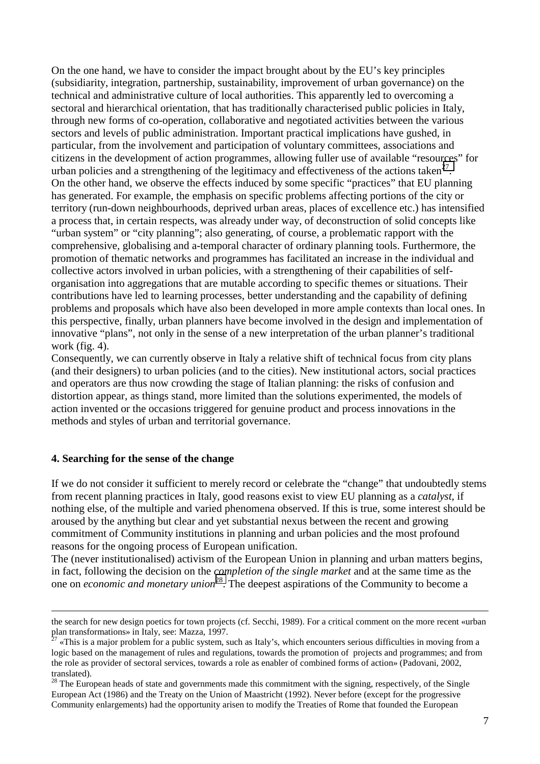On the one hand, we have to consider the impact brought about by the EU's key principles (subsidiarity, integration, partnership, sustainability, improvement of urban governance) on the technical and administrative culture of local authorities. This apparently led to overcoming a sectoral and hierarchical orientation, that has traditionally characterised public policies in Italy, through new forms of co-operation, collaborative and negotiated activities between the various sectors and levels of public administration. Important practical implications have gushed, in particular, from the involvement and participation of voluntary committees, associations and citizens in the development of action programmes, allowing fuller use of available "resources" for urban policies and a strengthening of the legitimacy and effectiveness of the actions taken<sup>27</sup>. On the other hand, we observe the effects induced by some specific "practices" that EU planning has generated. For example, the emphasis on specific problems affecting portions of the city or territory (run-down neighbourhoods, deprived urban areas, places of excellence etc.) has intensified a process that, in certain respects, was already under way, of deconstruction of solid concepts like "urban system" or "city planning"; also generating, of course, a problematic rapport with the comprehensive, globalising and a-temporal character of ordinary planning tools. Furthermore, the promotion of thematic networks and programmes has facilitated an increase in the individual and collective actors involved in urban policies, with a strengthening of their capabilities of selforganisation into aggregations that are mutable according to specific themes or situations. Their contributions have led to learning processes, better understanding and the capability of defining problems and proposals which have also been developed in more ample contexts than local ones. In this perspective, finally, urban planners have become involved in the design and implementation of innovative "plans", not only in the sense of a new interpretation of the urban planner's traditional work (fig. 4).

Consequently, we can currently observe in Italy a relative shift of technical focus from city plans (and their designers) to urban policies (and to the cities). New institutional actors, social practices and operators are thus now crowding the stage of Italian planning: the risks of confusion and distortion appear, as things stand, more limited than the solutions experimented, the models of action invented or the occasions triggered for genuine product and process innovations in the methods and styles of urban and territorial governance.

#### **4. Searching for the sense of the change**

 $\overline{a}$ 

If we do not consider it sufficient to merely record or celebrate the "change" that undoubtedly stems from recent planning practices in Italy, good reasons exist to view EU planning as a *catalyst*, if nothing else, of the multiple and varied phenomena observed. If this is true, some interest should be aroused by the anything but clear and yet substantial nexus between the recent and growing commitment of Community institutions in planning and urban policies and the most profound reasons for the ongoing process of European unification.

The (never institutionalised) activism of the European Union in planning and urban matters begins, in fact, following the decision on the *completion of the single market* and at the same time as the one on *economic and monetary union*<sup>28</sup>. The deepest aspirations of the Community to become a

the search for new design poetics for town projects (cf. Secchi, 1989). For a critical comment on the more recent «urban plan transformations» in Italy, see: Mazza, 1997.

<sup>27 «</sup>This is a major problem for a public system, such as Italy's, which encounters serious difficulties in moving from a logic based on the management of rules and regulations, towards the promotion of projects and programmes; and from the role as provider of sectoral services, towards a role as enabler of combined forms of action» (Padovani, 2002, translated).

 $^{28}$  The European heads of state and governments made this commitment with the signing, respectively, of the Single European Act (1986) and the Treaty on the Union of Maastricht (1992). Never before (except for the progressive Community enlargements) had the opportunity arisen to modify the Treaties of Rome that founded the European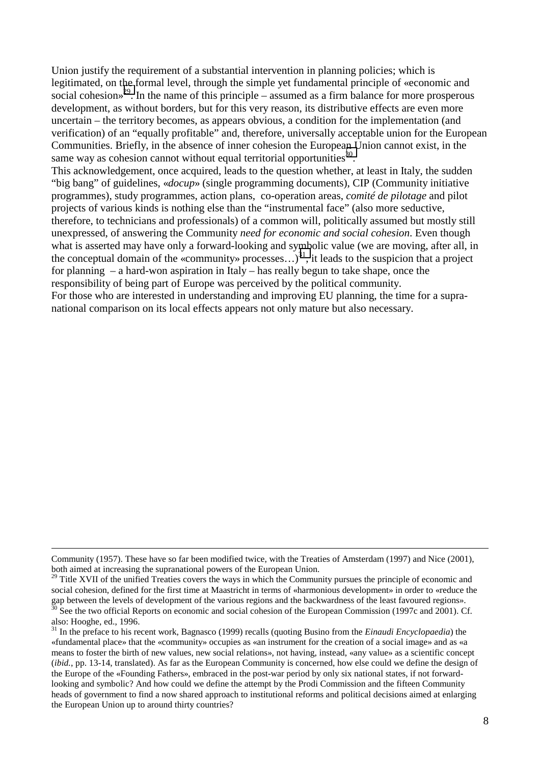Union justify the requirement of a substantial intervention in planning policies; which is legitimated, on the formal level, through the simple yet fundamental principle of «economic and social cohesion»<sup>29</sup>. In the name of this principle – assumed as a firm balance for more prosperous development, as without borders, but for this very reason, its distributive effects are even more uncertain – the territory becomes, as appears obvious, a condition for the implementation (and verification) of an "equally profitable" and, therefore, universally acceptable union for the European Communities. Briefly, in the absence of inner cohesion the European Union cannot exist, in the same way as cohesion cannot without equal territorial opportunities<sup>30</sup>.

This acknowledgement, once acquired, leads to the question whether, at least in Italy, the sudden "big bang" of guidelines, «*docup*» (single programming documents), CIP (Community initiative programmes), study programmes, action plans, co-operation areas, *comité de pilotage* and pilot projects of various kinds is nothing else than the "instrumental face" (also more seductive, therefore, to technicians and professionals) of a common will, politically assumed but mostly still unexpressed, of answering the Community *need for economic and social cohesion*. Even though what is asserted may have only a forward-looking and symbolic value (we are moving, after all, in the conceptual domain of the «community» processes... $)^{31}$ , it leads to the suspicion that a project for planning – a hard-won aspiration in Italy – has really begun to take shape, once the responsibility of being part of Europe was perceived by the political community. For those who are interested in understanding and improving EU planning, the time for a supra-

national comparison on its local effects appears not only mature but also necessary.

 $\overline{a}$ 

Community (1957). These have so far been modified twice, with the Treaties of Amsterdam (1997) and Nice (2001), both aimed at increasing the supranational powers of the European Union.

 $29$  Title XVII of the unified Treaties covers the ways in which the Community pursues the principle of economic and social cohesion, defined for the first time at Maastricht in terms of «harmonious development» in order to «reduce the gap between the levels of development of the various regions and the backwardness of the least favoured regions». See the two official Reports on economic and social cohesion of the European Commission (1997c and 2001). Cf. also: Hooghe, ed., 1996.

<sup>31</sup> In the preface to his recent work, Bagnasco (1999) recalls (quoting Busino from the *Einaudi Encyclopaedia*) the «fundamental place» that the «community» occupies as «an instrument for the creation of a social image» and as «a means to foster the birth of new values, new social relations», not having, instead, «any value» as a scientific concept (*ibid.*, pp. 13-14, translated). As far as the European Community is concerned, how else could we define the design of the Europe of the «Founding Fathers», embraced in the post-war period by only six national states, if not forwardlooking and symbolic? And how could we define the attempt by the Prodi Commission and the fifteen Community heads of government to find a now shared approach to institutional reforms and political decisions aimed at enlarging the European Union up to around thirty countries?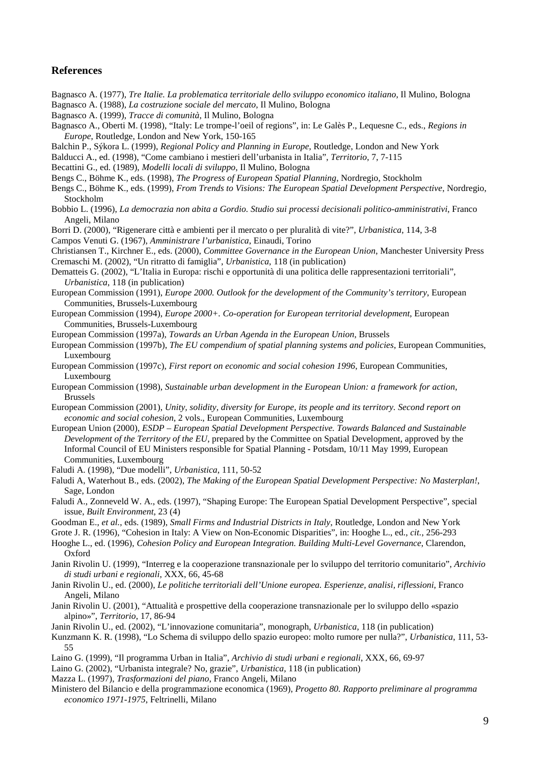#### **References**

- Bagnasco A. (1977), *Tre Italie. La problematica territoriale dello sviluppo economico italiano*, Il Mulino, Bologna
- Bagnasco A. (1988), *La costruzione sociale del mercato*, Il Mulino, Bologna
- Bagnasco A. (1999), *Tracce di comunità*, Il Mulino, Bologna
- Bagnasco A., Oberti M. (1998), "Italy: Le trompe-l'oeil of regions", in: Le Galès P., Lequesne C., eds., *Regions in Europe*, Routledge, London and New York, 150-165
- Balchin P., Sýkora L. (1999), *Regional Policy and Planning in Europe*, Routledge, London and New York
- Balducci A., ed. (1998), "Come cambiano i mestieri dell'urbanista in Italia", *Territorio*, 7, 7-115
- Becattini G., ed. (1989), *Modelli locali di sviluppo*, Il Mulino, Bologna
- Bengs C., Böhme K., eds. (1998), *The Progress of European Spatial Planning*, Nordregio, Stockholm
- Bengs C., Böhme K., eds. (1999), *From Trends to Visions: The European Spatial Development Perspective*, Nordregio, Stockholm
- Bobbio L. (1996), *La democrazia non abita a Gordio. Studio sui processi decisionali politico-amministrativi*, Franco Angeli, Milano
- Borri D. (2000), "Rigenerare città e ambienti per il mercato o per pluralità di vite?", *Urbanistica*, 114, 3-8
- Campos Venuti G. (1967), *Amministrare l'urbanistica*, Einaudi, Torino
- Christiansen T., Kirchner E., eds. (2000), *Committee Governance in the European Union*, Manchester University Press Cremaschi M. (2002), "Un ritratto di famiglia", *Urbanistica*, 118 (in publication)
- Dematteis G. (2002), "L'Italia in Europa: rischi e opportunità di una politica delle rappresentazioni territoriali", *Urbanistica*, 118 (in publication)
- European Commission (1991), *Europe 2000. Outlook for the development of the Community's territory*, European Communities, Brussels-Luxembourg
- European Commission (1994), *Europe 2000+. Co-operation for European territorial development*, European Communities, Brussels-Luxembourg
- European Commission (1997a), *Towards an Urban Agenda in the European Union*, Brussels
- European Commission (1997b), *The EU compendium of spatial planning systems and policies*, European Communities, Luxembourg
- European Commission (1997c), *First report on economic and social cohesion 1996*, European Communities, Luxembourg
- European Commission (1998), *Sustainable urban development in the European Union: a framework for action*, Brussels
- European Commission (2001), *Unity, solidity, diversity for Europe, its people and its territory. Second report on economic and social cohesion*, 2 vols., European Communities, Luxembourg
- European Union (2000), *ESDP European Spatial Development Perspective. Towards Balanced and Sustainable Development of the Territory of the EU*, prepared by the Committee on Spatial Development, approved by the Informal Council of EU Ministers responsible for Spatial Planning - Potsdam, 10/11 May 1999, European Communities, Luxembourg
- Faludi A. (1998), "Due modelli", *Urbanistica*, 111, 50-52
- Faludi A, Waterhout B., eds. (2002), *The Making of the European Spatial Development Perspective: No Masterplan!*, Sage, London
- Faludi A., Zonneveld W. A., eds. (1997), "Shaping Europe: The European Spatial Development Perspective", special issue, *Built Environment*, 23 (4)
- Goodman E., *et al.*, eds. (1989), *Small Firms and Industrial Districts in Italy*, Routledge, London and New York
- Grote J. R. (1996), "Cohesion in Italy: A View on Non-Economic Disparities", in: Hooghe L., ed., *cit.*, 256-293
- Hooghe L., ed. (1996), *Cohesion Policy and European Integration. Building Multi-Level Governance*, Clarendon, Oxford
- Janin Rivolin U. (1999), "Interreg e la cooperazione transnazionale per lo sviluppo del territorio comunitario", *Archivio di studi urbani e regionali*, XXX, 66, 45-68
- Janin Rivolin U., ed. (2000), *Le politiche territoriali dell'Unione europea. Esperienze, analisi, riflessioni*, Franco Angeli, Milano
- Janin Rivolin U. (2001), "Attualità e prospettive della cooperazione transnazionale per lo sviluppo dello «spazio alpino»", *Territorio*, 17, 86-94
- Janin Rivolin U., ed. (2002), "L'innovazione comunitaria", monograph, *Urbanistica*, 118 (in publication)
- Kunzmann K. R. (1998), "Lo Schema di sviluppo dello spazio europeo: molto rumore per nulla?", *Urbanistica*, 111, 53- 55
- Laino G. (1999), "Il programma Urban in Italia", *Archivio di studi urbani e regionali*, XXX, 66, 69-97
- Laino G. (2002), "Urbanista integrale? No, grazie", *Urbanistica*, 118 (in publication)
- Mazza L. (1997), *Trasformazioni del piano*, Franco Angeli, Milano
- Ministero del Bilancio e della programmazione economica (1969), *Progetto 80. Rapporto preliminare al programma economico 1971-1975*, Feltrinelli, Milano